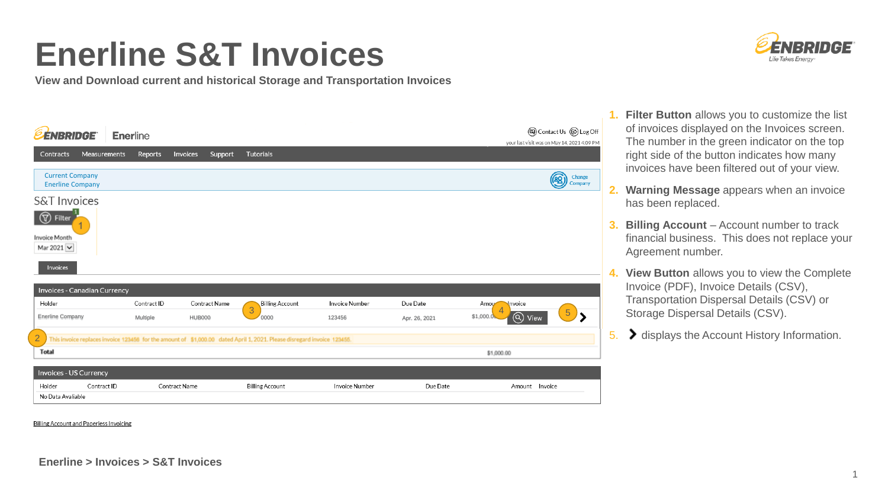## **Enerline S&T Invoices**

**View and Download current and historical Storage and Transportation Invoices**



| <b><i><u>EENBRIDGE</u></i></b>                                            | <b>Enerline</b> |          |         |           |  |  | <b>③</b> Contact Us <i>S</i> Log Off<br>your last visit was on May 14, 2021 4:09 PM |                          |                |
|---------------------------------------------------------------------------|-----------------|----------|---------|-----------|--|--|-------------------------------------------------------------------------------------|--------------------------|----------------|
| Contracts<br>Measurements                                                 | Reports         | Invoices | Support | Tutorials |  |  |                                                                                     |                          |                |
| <b>Current Company</b><br><b>Enerline Company</b>                         |                 |          |         |           |  |  |                                                                                     | Change<br>ردی<br>Company | 2.             |
| <b>S&amp;T Invoices</b><br><b>T</b> Filter<br>Invoice Month<br>Mar 2021 V |                 |          |         |           |  |  |                                                                                     |                          | 3.             |
| Invoices                                                                  |                 |          |         |           |  |  |                                                                                     |                          | $\overline{4}$ |

| Invoices - Canadian Currency  |             |               |               |                                                                                                                         |                       |               |                         |         |  |  |
|-------------------------------|-------------|---------------|---------------|-------------------------------------------------------------------------------------------------------------------------|-----------------------|---------------|-------------------------|---------|--|--|
| Holder                        |             | Contract ID   | Contract Name | Billing Account                                                                                                         | <b>Invoice Number</b> | Due Date      | Amou<br>Invoice         |         |  |  |
| <b>Enerline Company</b>       |             | Multiple      | <b>HUB000</b> | 3<br>0000                                                                                                               | 123456                | Apr. 26, 2021 | $(Q)$ View<br>\$1,000.0 | 5       |  |  |
| ∠                             |             |               |               | This invoice replaces invoice 123456 for the amount of \$1,000.00 dated April 1, 2021. Please disregard invoice 123455. |                       |               |                         |         |  |  |
| <b>Total</b>                  |             |               |               |                                                                                                                         |                       |               | \$1,000.00              |         |  |  |
|                               |             |               |               |                                                                                                                         |                       |               |                         |         |  |  |
| <b>Invoices - US Currency</b> |             |               |               |                                                                                                                         |                       |               |                         |         |  |  |
| Holder                        | Contract ID | Contract Name |               | <b>Billing Account</b>                                                                                                  | <b>Invoice Number</b> | Due Date      | Amount                  | Invoice |  |  |
| No Data Avaliable             |             |               |               |                                                                                                                         |                       |               |                         |         |  |  |

**1. Filter Button** allows you to customize the list of invoices displayed on the Invoices screen. The number in the green indicator on the top right side of the button indicates how many invoices have been filtered out of your view.

- **2. Warning Message** appears when an invoice has been replaced.
- **Billing Account** Account number to track financial business. This does not replace your Agreement number.
- **4. View Button** allows you to view the Complete Invoice (PDF), Invoice Details (CSV), Transportation Dispersal Details (CSV) or Storage Dispersal Details (CSV).
- 5. > displays the Account History Information.

Billing Account and Paperless Invoicing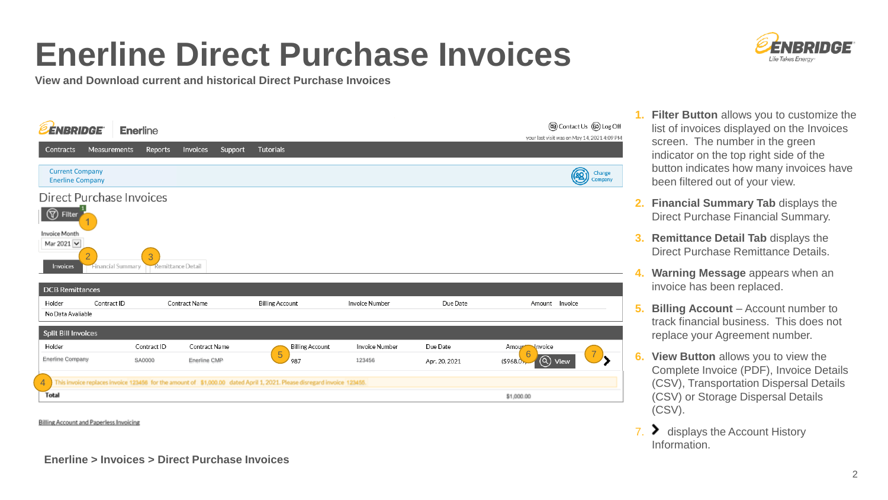## **Enerline Direct Purchase Invoices**



**View and Download current and historical Direct Purchase Invoices**

| <b>ENBRIDGE</b>                                                                                      | <b>Enerline</b>        |                               |                                                                                                                         |                          |                           | (a) Contact Us (B) Log Off<br>your last visit was on May 14, 2021 4:09 PM    |
|------------------------------------------------------------------------------------------------------|------------------------|-------------------------------|-------------------------------------------------------------------------------------------------------------------------|--------------------------|---------------------------|------------------------------------------------------------------------------|
| Measurements<br>Contracts                                                                            | Reports                | Invoices<br>Support           | <b>Tutorials</b>                                                                                                        |                          |                           |                                                                              |
| <b>Current Company</b><br><b>Enerline Company</b>                                                    |                        |                               |                                                                                                                         |                          |                           | Change<br>绍<br>Company                                                       |
| Direct Purchase Invoices<br>ඹ<br>Filter<br>Invoice Month<br>Mar 2021 V<br>$\overline{2}$<br>Invoices | 3<br>Financial Summary | Remittance Detail             |                                                                                                                         |                          |                           |                                                                              |
| <b>DCB Remittances</b><br>Contract ID<br>Holder<br>No Data Avaliable                                 |                        | Contract Name                 | <b>Billing Account</b>                                                                                                  | Invoice Number           | Due Date                  | Amount Invoice                                                               |
| <b>Split Bill Invoices</b>                                                                           |                        |                               |                                                                                                                         |                          |                           |                                                                              |
| Holder<br><b>Enerline Company</b>                                                                    | Contract ID<br>SA0000  | Contract Name<br>Enerline CMP | <b>Billing Account</b><br>5<br>987                                                                                      | Invoice Number<br>123456 | Due Date<br>Apr. 20, 2021 | Amoup <sup>M</sup> nvoice<br>$\left( \mathsf{Q}\right)$<br>(\$968.0)<br>View |
| $\overline{4}$                                                                                       |                        |                               | This invoice replaces invoice 123456 for the amount of \$1,000.00 dated April 1, 2021. Please disregard invoice 123455. |                          |                           |                                                                              |
| <b>Total</b>                                                                                         |                        |                               |                                                                                                                         |                          |                           | \$1,000.00                                                                   |

**Billing Account and Paperless Invoicing** 

## **Enerline > Invoices > Direct Purchase Invoices**

**1. Filter Button** allows you to customize the list of invoices displayed on the Invoices screen. The number in the green indicator on the top right side of the button indicates how many invoices have been filtered out of your view.

- **2. Financial Summary Tab** displays the Direct Purchase Financial Summary.
- **3. Remittance Detail Tab displays the** Direct Purchase Remittance Details.
- **4. Warning Message** appears when an invoice has been replaced.
- **5. Billing Account** Account number to track financial business. This does not replace your Agreement number.
- **6. View Button** allows you to view the Complete Invoice (PDF), Invoice Details (CSV), Transportation Dispersal Details (CSV) or Storage Dispersal Details (CSV).
- $7.$   $\bullet$  displays the Account History Information.